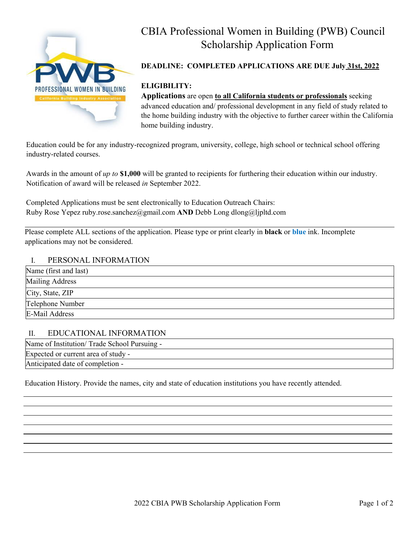

# CBIA Professional Women in Building (PWB) Council Scholarship Application Form

## **DEADLINE: COMPLETED APPLICATIONS ARE DUE July 31st, 2022**

## **ELIGIBILITY:**

**Applications** are open **to all California students or professionals** seeking advanced education and/ professional development in any field of study related to the home building industry with the objective to further career within the California home building industry.

Education could be for any industry-recognized program, university, college, high school or technical school offering industry-related courses.

Awards in the amount of *up to* **\$1,000** will be granted to recipients for furthering their education within our industry. Notification of award will be released *in* September 2022.

Completed Applications must be sent electronically to Education Outreach Chairs: Ruby Rose Yepez ruby.rose.sanchez@gmail.com **AND** Debb Long dlong@ljpltd.com

Please complete ALL sections of the application. Please type or print clearly in **black** or **blue** ink. Incomplete applications may not be considered.

#### I. PERSONAL INFORMATION

| Name (first and last) |  |
|-----------------------|--|
| Mailing Address       |  |
| City, State, ZIP      |  |
| Telephone Number      |  |
| E-Mail Address        |  |

#### II. EDUCATIONAL INFORMATION

Name of Institution/ Trade School Pursuing - Expected or current area of study - Anticipated date of completion -

Education History. Provide the names, city and state of education institutions you have recently attended.